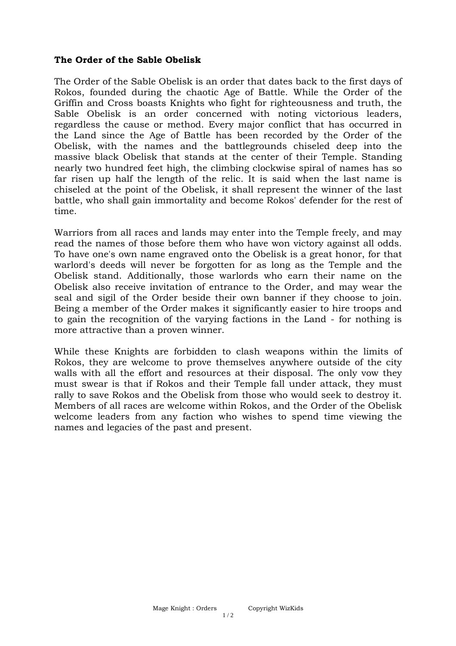## **The Order of the Sable Obelisk**

The Order of the Sable Obelisk is an order that dates back to the first days of Rokos, founded during the chaotic Age of Battle. While the Order of the Griffin and Cross boasts Knights who fight for righteousness and truth, the Sable Obelisk is an order concerned with noting victorious leaders, regardless the cause or method. Every major conflict that has occurred in the Land since the Age of Battle has been recorded by the Order of the Obelisk, with the names and the battlegrounds chiseled deep into the massive black Obelisk that stands at the center of their Temple. Standing nearly two hundred feet high, the climbing clockwise spiral of names has so far risen up half the length of the relic. It is said when the last name is chiseled at the point of the Obelisk, it shall represent the winner of the last battle, who shall gain immortality and become Rokos' defender for the rest of time.

Warriors from all races and lands may enter into the Temple freely, and may read the names of those before them who have won victory against all odds. To have one's own name engraved onto the Obelisk is a great honor, for that warlord's deeds will never be forgotten for as long as the Temple and the Obelisk stand. Additionally, those warlords who earn their name on the Obelisk also receive invitation of entrance to the Order, and may wear the seal and sigil of the Order beside their own banner if they choose to join. Being a member of the Order makes it significantly easier to hire troops and to gain the recognition of the varying factions in the Land - for nothing is more attractive than a proven winner.

While these Knights are forbidden to clash weapons within the limits of Rokos, they are welcome to prove themselves anywhere outside of the city walls with all the effort and resources at their disposal. The only vow they must swear is that if Rokos and their Temple fall under attack, they must rally to save Rokos and the Obelisk from those who would seek to destroy it. Members of all races are welcome within Rokos, and the Order of the Obelisk welcome leaders from any faction who wishes to spend time viewing the names and legacies of the past and present.